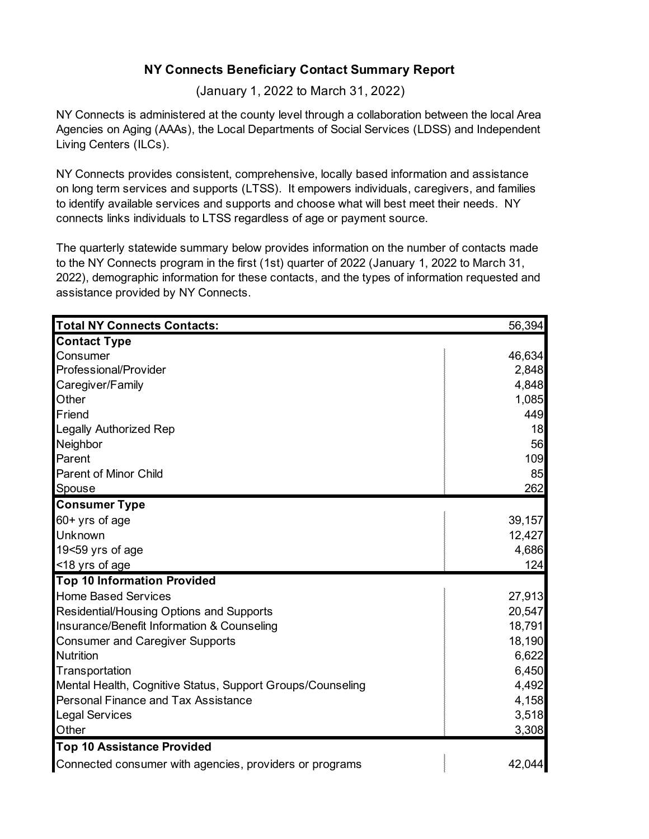## **NY Connects Beneficiary Contact Summary Report**

(January 1, 2022 to March 31, 2022)

NY Connects is administered at the county level through a collaboration between the local Area Agencies on Aging (AAAs), the Local Departments of Social Services (LDSS) and Independent Living Centers (ILCs).

NY Connects provides consistent, comprehensive, locally based information and assistance on long term services and supports (LTSS). It empowers individuals, caregivers, and families to identify available services and supports and choose what will best meet their needs. NY connects links individuals to LTSS regardless of age or payment source.

The quarterly statewide summary below provides information on the number of contacts made to the NY Connects program in the first (1st) quarter of 2022 (January 1, 2022 to March 31, 2022), demographic information for these contacts, and the types of information requested and assistance provided by NY Connects.

| <b>Total NY Connects Contacts:</b>                         | 56,394 |
|------------------------------------------------------------|--------|
| <b>Contact Type</b>                                        |        |
| Consumer                                                   | 46,634 |
| Professional/Provider                                      | 2,848  |
| Caregiver/Family                                           | 4,848  |
| Other                                                      | 1,085  |
| Friend                                                     | 449    |
| <b>Legally Authorized Rep</b>                              | 18     |
| Neighbor                                                   | 56     |
| Parent                                                     | 109    |
| <b>Parent of Minor Child</b>                               | 85     |
| Spouse                                                     | 262    |
| <b>Consumer Type</b>                                       |        |
| 60+ yrs of age                                             | 39,157 |
| Unknown                                                    | 12,427 |
| 19<59 yrs of age                                           | 4,686  |
| <18 yrs of age                                             | 124    |
| <b>Top 10 Information Provided</b>                         |        |
| <b>Home Based Services</b>                                 | 27,913 |
| Residential/Housing Options and Supports                   | 20,547 |
| Insurance/Benefit Information & Counseling                 | 18,791 |
| <b>Consumer and Caregiver Supports</b>                     | 18,190 |
| Nutrition                                                  | 6,622  |
| Transportation                                             | 6,450  |
| Mental Health, Cognitive Status, Support Groups/Counseling | 4,492  |
| <b>Personal Finance and Tax Assistance</b>                 | 4,158  |
| <b>Legal Services</b>                                      | 3,518  |
| Other                                                      | 3,308  |
| <b>Top 10 Assistance Provided</b>                          |        |
| Connected consumer with agencies, providers or programs    | 42,044 |